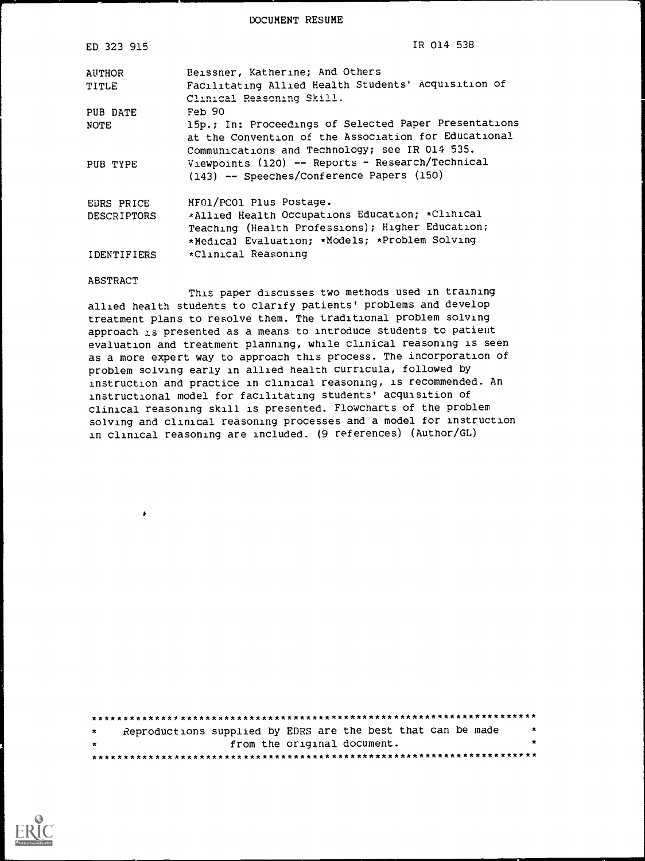DOCUMENT RESUME

| ED 323 915         | IR 014 538                                                                                                                                                      |
|--------------------|-----------------------------------------------------------------------------------------------------------------------------------------------------------------|
| AUTHOR<br>TITLE    | Beissner, Katherine; And Others<br>Facilitating Allied Health Students' Acquisition of<br>Clinical Reasoning Skill.                                             |
| PUB DATE           | Feb 90                                                                                                                                                          |
| NOTE               | 15p.; In: Proceedings of Selected Paper Presentations<br>at the Convention of the Association for Educational<br>Communications and Technology; see IR 014 535. |
| PUB TYPE           | Viewpoints (120) -- Reports - Research/Technical<br>(143) -- Speeches/Conference Papers (150)                                                                   |
| EDRS PRICE         | MF01/PC01 Plus Postage.                                                                                                                                         |
| <b>DESCRIPTORS</b> | *Allied Health Occupations Education; *Clinical                                                                                                                 |
|                    | Teaching (Health Professions); Higher Education;<br>*Medical Evaluation; *Models; *Problem Solving                                                              |
| IDENTIFIERS        | *Clinical Reasoning                                                                                                                                             |

#### ABSTRACT

 $\mathbf{z}$ 

This paper discusses two methods used in training allied health students to clarify patients' problems and develop treatment plans to resolve them. The traditional problem solving approach is presented as a means to Introduce students to patient evaluation and treatment planning, while clinical reasoning is seen as a more expert way to approach this process. The incorporation of problem solving early in allied health curricula, followed by instruction and practice in clinical reasoning, is recommended. An instructional model for facilitating students' acquisition of clinical reasoning skill is presented. Flowcharts of the problem solving and clinical reasoning processes and a model for instruction in clinical reasoning are included. (9 references) (Author/GL)

| $\star$ | Reproductions supplied by EDRS are the best that can be made |                             |  |  |  |  | $\star$ |
|---------|--------------------------------------------------------------|-----------------------------|--|--|--|--|---------|
| $\star$ |                                                              | from the original document. |  |  |  |  |         |
|         |                                                              |                             |  |  |  |  |         |

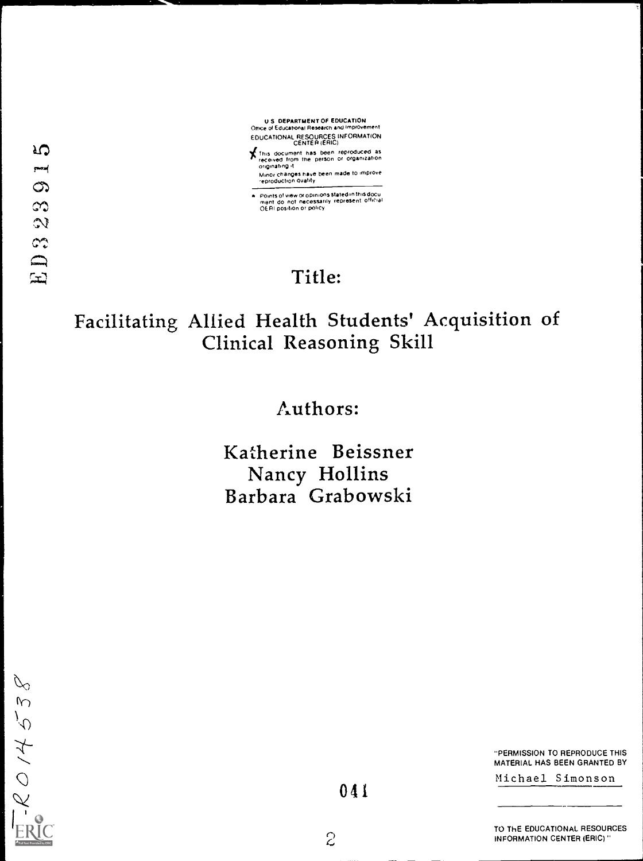

Minor changes have been made to improve.<br>reproduction quality

Points of view or opinions stated in this docu<br>ment :do: not: necessarily .represent: official<br>OE RI position or policy

# Title:

# Facilitating Allied Health Students' Acquisition of Clinical Reasoning Skill

# Authors:

Katherine Beissner Nancy Hollins Barbara Grabowski

 $\varphi$  $-$ RO1453

"PERMISSION TO REPRODUCE THIS MATERIAL HAS BEEN GRANTED BY

Michael Simonson

 $\overline{c}$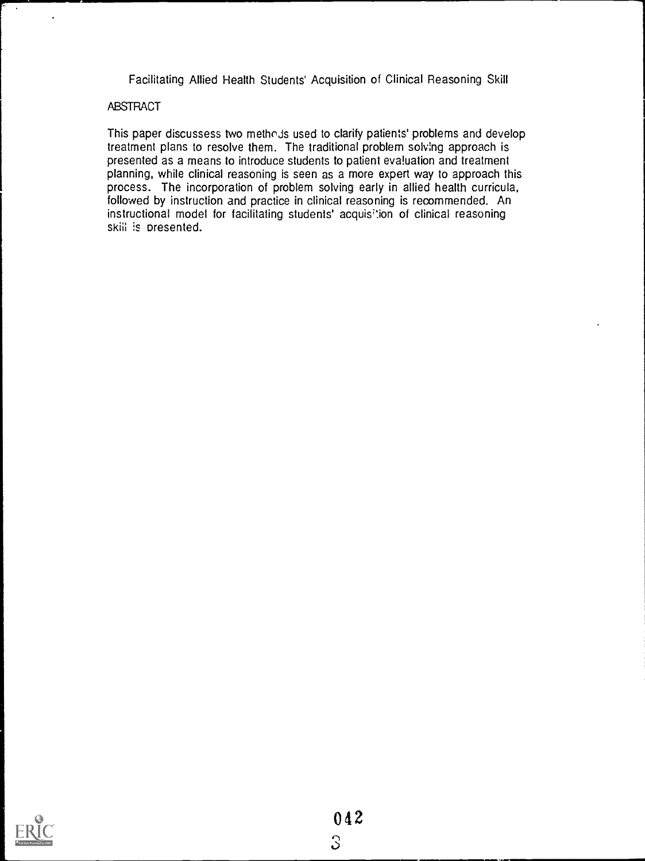Facilitating Allied Health Students' Acquisition of Clinical Reasoning Skill

# ABSTRACT

 $\cdot$ 

This paper discussess two methoJs used to clarify patients' problems and develop treatment plans to resolve them. The traditional problem solving approach is presented as a means to introduce students to patient evaluation and treatment planning, while clinical reasoning is seen as a more expert way to approach this process. The incorporation of problem solving early in allied health curricula, followed by instruction and practice in clinical reasoning is recommended. An instructional model for facilitating students' acquisition of clinical reasoning skiii is presented.

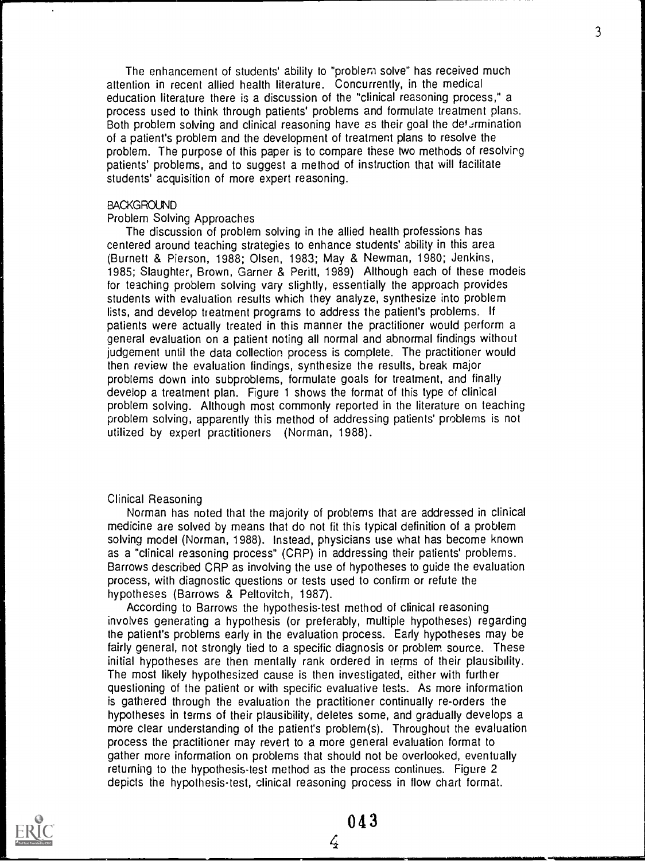The enhancement of students' ability to "problem solve" has received much attention in recent allied health literature. Concurrently, in the medical education literature there is a discussion of the "clinical reasoning process," a process used to think through patients' problems and formulate treatment plans. Both problem solving and clinical reasoning have as their goal the determination of a patient's problem and the development of treatment plans to resolve the problem. The purpose of this paper is to compare these two methods of resolvirg patients' problems, and to suggest a method of instruction that will facilitate students' acquisition of more expert reasoning.

### **BACKGROUND**

### Problem Solving Approaches

The discussion of problem solving in the allied health professions has centered around teaching strategies to enhance students' ability in this area (Burnett & Pierson, 1988; Olsen, 1983; May & Newman, 1980; Jenkins, 1985; Slaughter, Brown, Garner & Peritt, 1989) Although each of these modeis for teaching problem solving vary slightly, essentially the approach provides students with evaluation results which they analyze, synthesize into problem lists, and develop treatment programs to address the patient's problems. If patients were actually treated in this manner the practitioner would perform a general evaluation on a patient noting all normal and abnormal findings without judgement until the data collection process is complete. The practitioner would then review the evaluation findings, synthesize the results, break major problems down into subproblems, formulate goals for treatment, and finally develop a treatment plan. Figure 1 shows the format of this type of clinical problem solving. Although most commonly reported in the literature on teaching problem solving, apparently this method of addressing patients' problems is not utilized by expert practitioners (Norman, 1988).

#### Clinical Reasoning

Norman has noted that the majority of problems that are addressed in clinical medicine are solved by means that do not fit this typical definition of a problem solving model (Norman, 1988). Instead, physicians use what has become known as a "clinical reasoning process" (CRP) in addressing their patients' problems. Barrows described CRP as involving the use of hypotheses to guide the evaluation process, with diagnostic questions or tests used to confirm or refute the hypotheses (Barrows & Peltovitch, 1987).

According to Barrows the hypothesis-test method of clinical reasoning involves generating a hypothesis (or preferably, multiple hypotheses) regarding the patient's problems early in the evaluation process. Early hypotheses may be fairly general, not strongly tied to a specific diagnosis or problem source. These initial hypotheses are then mentally rank ordered in terms of their plausibility. The most likely hypothesized cause is then investigated, either with further questioning of the patient or with specific evaluative tests. As more information is gathered through the evaluation the practitioner continually re-orders the hypotheses in terms of their plausibility, deletes some, and gradually develops a more clear understanding of the patient's problem(s). Throughout the evaluation process the practitioner may revert to a more general evaluation format to gather more information on problems that should not be overlooked, eventually returning to the hypothesis-test method as the process continues. Figure 2 depicts the hypothesis-test, clinical reasoning process in flow chart format.



043

 $\zeta$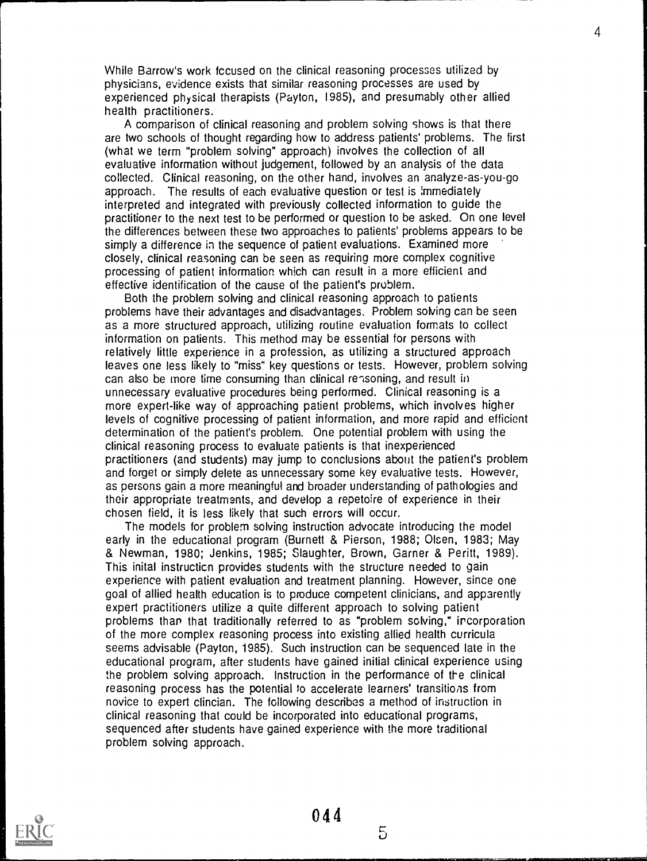While Barrow's work fccused on the clinical reasoning processes utilized by physicians, evidence exists that similar reasoning processes are used by experienced physical therapists (Payton, 1985), and presumably other allied health practitioners.

A comparison of clinical reasoning and problem solving shows is that there are two schools of thought regarding how to address patients' problems. The first (what we term "problem solving" approach) involves the collection of all evaluative information without judgement, followed by an analysis of the data collected. Clinical reasoning, on the other hand, involves an analyze-as-you-go approach. The results of each evaluative question or test is immediately interpreted and integrated with previously collected information to guide the practitioner to the next test to be performed or question to be asked. On one level the differences between these two approaches to patients' problems appears to be simply a difference in the sequence of patient evaluations. Examined more closely, clinical reasoning can be seen as requirina more complex cognitive processing of patient information which can result in a more efficient and effective identification of the cause of the patient's problem.

Both the problem solving and clinical reasoning approach to patients problems have their advantages and disadvantages. Problem solving can be seen as a more structured approach, utilizing routine evaluation formats to collect information on patients. This method may be essential for persons with relatively little experience in a profession, as utilizing a structured approach leaves one less likely to "miss" key questions or tests. However, problem solving can also be more time consuming than clinical reasoning, and result in unnecessary evaluative procedures being performed. Clinical reasoning is a more expert-like way of approaching patient problems, which involves higher levels of cognitive processing of patient information, and more rapid and efficient determination of the patient's problem. One potential problem with using the clinical reasoning process to evaluate patients is that inexperienced practitioners (and students) may jump to conclusions about the patient's problem and forget or simply delete as unnecessary some key evaluative tests. However, as persons gain a more meaningful and broader understanding of pathologies and their appropriate treatments, and develop a repetoire of experience in their chosen field, it is less likely that such errors will occur.

The models for problem solving instruction advocate introducing the model early in the educational program (Burnett & Pierson, 1988; Olsen, 1983; May & Newman, 1980; Jenkins, 1985; Slaughter, Brown, Garner & Peritt, 1989). This inital instructicn provides students with the structure needed to gain experience with patient evaluation and treatment planning. However, since one goal of allied health education is to produce competent clinicians, and apparently expert practitioners utilize a quite different approach to solving patient problems than that traditionally referred to as "problem solving," incorporation of the more complex reasoning process into existing allied health curricula seems advisable (Payton, 1985). Such instruction can be sequenced late in the educational program, after students have gained initial clinical experience using the problem solving approach. Instruction in the performance of the clinical reasoning process has the potentiai to accelerate learners' transitions from novice to expert clincian. The following describes a method of instruction in clinical reasoning that could be incorporated into educational programs, sequenced after students have gained experience with the more traditional problem solving approach.

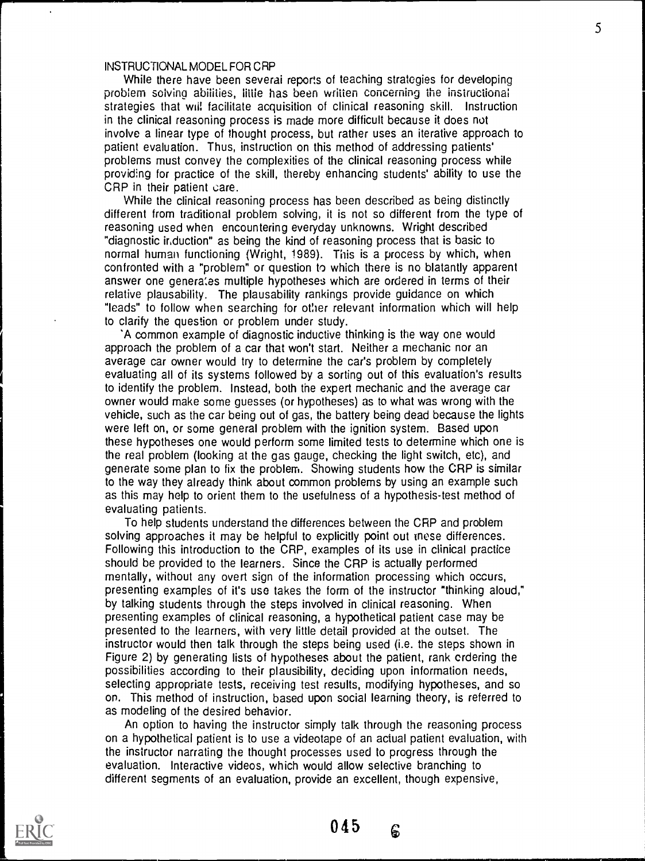# INSTRUCTIONAL MODEL FOR CRP

While there have been severai reports of teaching strategies for developing problem solving abilities, little has been written concerning the instructional strategies that will facilitate acquisition of clinical reasoning skill. Instruction in the clinical reasoning process is made more difficult because it does not involve a linear type of thought process, but rather uses an iterative approach to patient evaluation. Thus, instruction on this method of addressing patients' problems must convey the complexities of the clinical reasoning process while providing for practice of the skill, thereby enhancing students' ability to use the CRP in their patient care.

While the clinical reasoning process has been described as being distinctly different from traditional problem solving, it is not so different from the type of reasoning used when encountering everyday unknowns. Wright described "diagnostic induction" as being the kind of reasoning process that is basic to normal human functioning (Wright, 1989). This is a process by which, when confronted with a "problem" or question to which there is no blatantly apparent answer one generates multiple hypotheses which are ordered in terms of their relative plausability. The plausability rankings provide guidance on which "leads" to follow when searching for otlier relevant information which will help to clarify the question or problem under study.

'A common example of diagnostic inductive thinking is the way one would approach the problem of a car that won't start. Neither a mechanic nor an average car owner would try to determine the car's problem by completely evaluating all of its systems followed by a sorting out of this evaluation's results to identify the problem. Instead, both the expert mechanic and the average car owner would make some guesses (or hypotheses) as to what was wrong with the vehicle, such as the car being out of gas, the battery being dead because the lights were left on, or some general problem with the ignition system. Based upon these hypotheses one would perform some limited tests to determine which one is the real problem (looking at the gas gauge, checking the light switch, etc), and generate some plan to fix the problem. Showing students how the CRP is similar to the way they already think about common problems by using an example such as this may help to orient them to the usefulness of a hypothesis-test method of evaluating patients.

To help students understand the differences between the CRP and problem solving approaches it may be helpful to explicitly point out tnese differences. Following this introduction to the CRP, examples of its use in clinical practice should be provided to the learners. Since the CRP is actually performed mentally, without any overt sign of the information processing which occurs, presenting examples of it's use takes the form of the instructor "thinking aloud," by talking students through the steps involved in clinical reasoning. When presenting examples of clinical reasoning, a hypothetical patient case may be presented to the learners, with very little detail provided at the outset. The instructor would then talk through the steps being used (i.e. the steps shown in Figure 2) by generating lists of hypotheses about the patient, rank ordering the possibilities according to their plausibility, deciding upon information needs, selecting appropriate tests, receiving test results, modifying hypotheses, and so on. This method of instruction, based upon social learning theory, is referred to as modeling of the desired behavior.

An option to having the instructor simply talk through the reasoning process on a hypothetical patient is to use a videotape of an actual patient evaluation, with the instructor narrating the thought processes used to progress through the evaluation. Interactive videos, which would allow selective branching to different segments of an evaluation, provide an excellent, though expensive,



045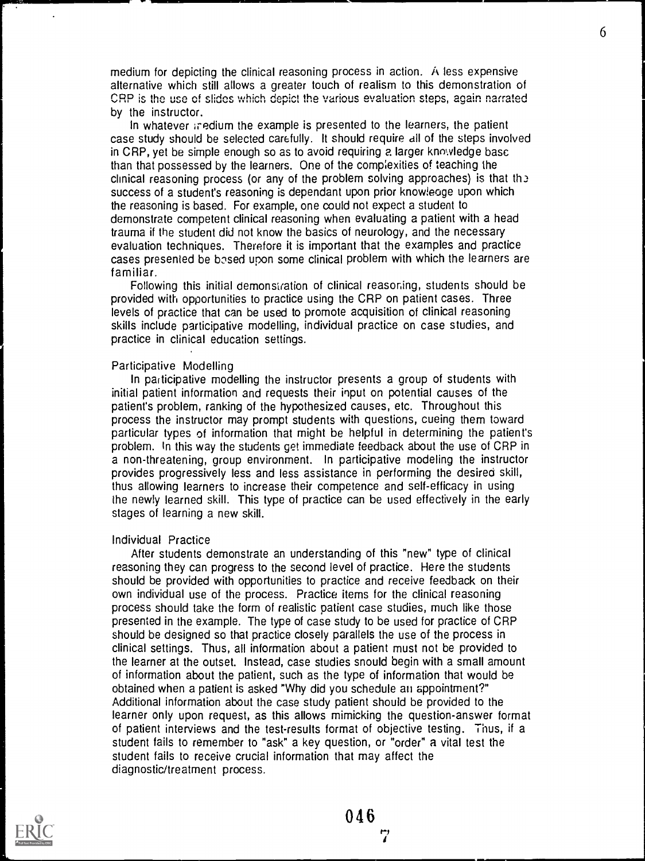medium for depicting the clinical reasoning process in action. A less expensive alternative which still allows a greater touch of realism to this demonstration of CRP is the use of slides which depict the various evaluation steps, again narrated by the instructor.

In whatever iredium the example is presented to the learners, the patient case study should be selected carefully. It should require all of the steps involved in CRP, yet be simple enough so as to avoid requiring a larger knowledge base than that possessed by the learners. One of the comp;exities of teaching the clinical reasoning process (or any of the problem solving approaches) is that the success of a student's reasoning is dependant upon prior knowieoge upon which the reasoning is based. For example, one could not expect a student to demonstrate competent clinical reasoning when evaluating a patient with a head trauma if the student did not know the basics of neurology, and the necessary evaluation techniques. Therefore it is important that the examples and practice cases presented be bosed upon some clinical problem with which the learners are familiar.

Following this initial demonstration of clinical reasoning, students should be provided with opportunities to practice using the CRP on patient cases. Three levels of practice that can be used to promote acquisition of clinical reasoning skills include participative modelling, individual practice on case studies, and practice in clinical education settings.

#### Participative Modelling

In participative modelling the instructor presents a group of students with initial patient information and requests their input on potential causes of the patient's problem, ranking of the hypothesized causes, etc. Throughout this process the instructor may prompt students with questions, cueing them toward particular types of information that might be helpful in determining the patient's problem. In this way the students get immediate feedback about the use of CRP in a non-threatening, group environment. In participative modeling the instructor provides progressively less and less assistance in performing the desired skill, thus allowing learners to increase their competence and self-efficacy in using the newly learned skill. This type of practice can be used effectively in the early stages of learning a new skill.

#### Individual Practice

After students demonstrate an understanding of this "new" type of clinical reasoning they can progress to the second level of practice. Here the students should be provided with opportunities to practice and receive feedback on their own individual use of the process. Practice items for the clinical reasoning process should take the form of realistic patient case studies, much like those presented in the example. The type of case study to be used for practice of CRP should be designed so that practice closely parallels the use of the process in clinical settings. Thus, all information about a patient must not be provided to the learner at the outset. Instead, case studies snould begin with a small amount of information about the patient, such as the type of information that would be obtained when a patient is asked "Why did you schedule ati appointment?" Additional information about the case study patient should be provided to the learner only upon request, as this allows mimicking the question-answer format of patient interviews and the test-results format of objective testing. Thus, if a student fails to remember to "ask" a key question, or "order" a vital test the student fails to receive crucial information that may affect the diagnostic/treatment process.

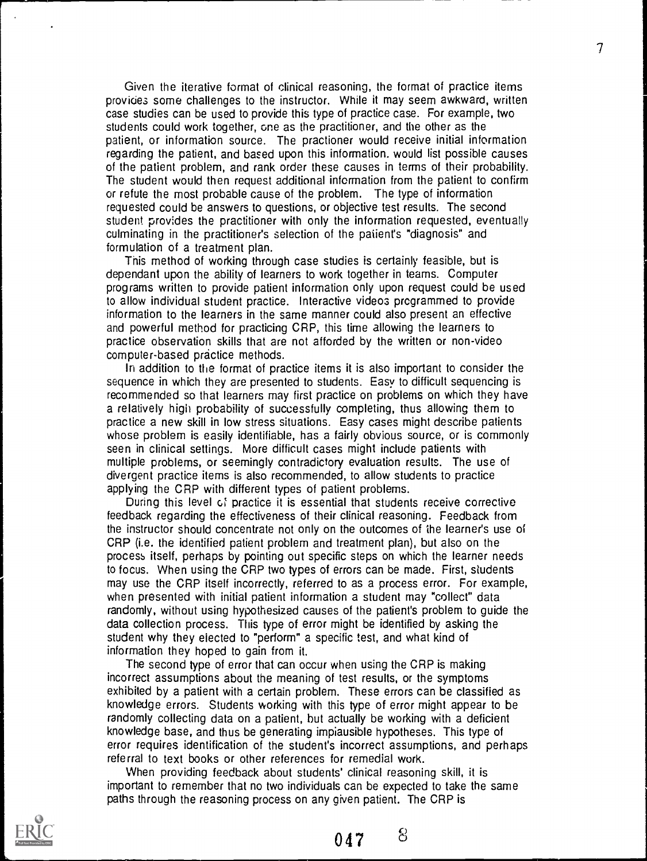Given the iterative format of clinical reasoning, the format of practice items provides some challenges to the instructor. While it may seem awkward, written case studies can be used to provide this type of practice case. For example, two students could work together, one as the practitioner, and the other as the patient, or information source. The practioner would receive initial information regarding the patient, and based upon this information, would list possible causes of the patient problem, and rank order these causes in terms of their probability. The student would then request additional information from the patient to confirm or refute the most probable cause of the problem. The type of information requested could be answers to questions, or objective test results. The second student provides the practitioner with only the information requested, eventually culminating in the practitioner's selection of the patient's "diagnosis" and formulation of a treatment plan.

This method of working through case studies is certainly feasible, but is dependant upon the ability of learners to work together in teams. Computer programs written to provide patient information only upon request could be used to allow individual student practice. Interactive videos programmed to provide information to the learners in the same manner could also present an effective and powerful method for practicing CRP, this time allowing the learners to practice observation skills that are not afforded by the written or non-video computer-based practice methods.

In addition to the format of practice items it is also important to consider the sequence in which they are presented to students. Easy to difficult sequencing is recommended so that learners may first practice on problems on which they have a relatively high probabffity of successfully completing, thus allowing them to practice a new skill in low stress situations. Easy cases might describe patients whose problem is easily identifiable, has a fairly obvious source, or is commonly seen in clinical settings. More difficult cases might include patients with multiple problems, or seemingly contradictory evaluation results. The use of divergent practice items is also recommended, to allow students to practice applying the CRP with different types of patient problems.

During this level of practice it is essential that students receive corrective feedback regarding the effectiveness of their clinical reasoning. Feedback from the instructor should concentrate not only on the outcomes of the learner's use of CRP (i.e. the identified patient problem and treatment plan), but also on the process itself, perhaps by pointing out specific steps on which the learner needs to focus. When using the CRP two types of errors can be made. First, students may use the CRP itself incorrectly, referred to as a process error. For example, when presented with initial patient information a student may "collect" data randomly, without using hypothesized causes of the patient's problem to guide the data collection process. This type of error might be identified by asking the student why they elected to "perform" a specific test, and what kind of information they hoped to gain from it.

The second type of error that can occur when using the CRP is making incorrect assumptions about the meaning of test results, or the symptoms exhibited by a patient with a certain problem. These errors can be classified as knowledge errors. Students working with this type of error might appear to be randomly collecting data on a patient, but actually be working with a deficient knowledge base, and thus be generating impiausible hypotheses. This type of error requires identification of the student's incorrect assumptions, and perhaps referral to text books or other references for remedial work.

When providing feedback about students' clinical reasoning skill, it is important to remember that no two individuals can be expected to take the same paths through the reasoning process on any given patient. The CRP is

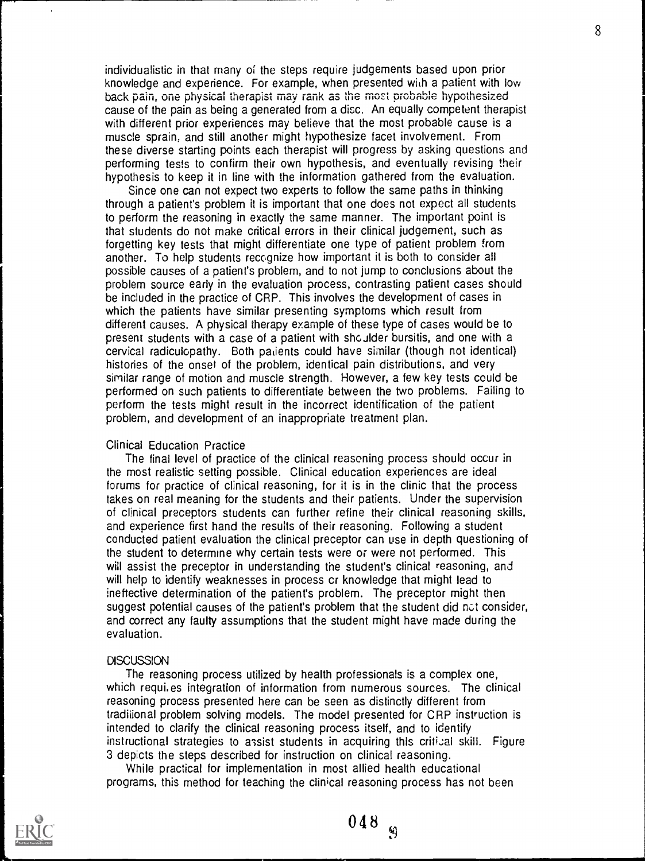individualistic in that many of the steps require judgements based upon prior knowledge and experience. For example, when presented with a patient with low back pain, one physical therapist may rank as the most probable hypothesized cause of the pain as being a generated from a disc. An equally competent therapist with different prior experiences may believe that the most probable cause is a muscle sprain, and still another might hypothesize facet involvement. From these diverse starting points each therapist will progress by asking questions and performing tests to confirm their own hypothesis, and eventually revising their hypothesis to keep it in line with the information gathered from the evaluation.

Since one can not expect two experts to follow the same paths in thinking through a patient's problem it is important that one does not expect all students to perform the reasoning in exactly the same manner. The important point is that students do not make critical errors in their clinical judgement, such as forgetting key tests that might differentiate one type of patient problem from another. To help students recognize how important it is both to consider all possible causes of a patient's problem, and to not jump to conclusions about the problem source early in the evaluation process, contrasting patient cases should be included in the practice of CRP. This involves the development of cases in which the patients have similar presenting symptoms which result from different causes. A physical therapy example of these type of cases would be to present students with a case of a patient with shoJIder bursitis, and one with a cervical radiculopathy. Both padents could have similar (though not identical) histories of the onset of the problem, identical pain distributions, and very similar range of mofion and muscle strength. However, a few key tests could be performed on such patients to differentiate between the two problems. Failing to perform the tests might result in the incorrect identification of the patient problem, and development of an inappropriate treatment plan.

## Clinical Education Practice

The final level of practice of the clinical reasoning process should occur in the most realistic setting possible. Clinical education experiences are ideal forums for practice of clinical reasoning, for it is in the clinic that the process takes on real meaning for the students and their patients. Under the supervision of clinical preceptors students can further refine their clinical reasoning skills, and experience first hand the results of their reasoning. Following a student conducted patient evaluation the clinical preceptor can use in depth questioning of the student to determine why certain tests were or were not performed. This will assist the preceptor in understanding the student's clinical reasoning, and will help to identify weaknesses in process cr knowledge that might lead to ineffective determination of the patient's problem. The preceptor might then suggest potential causes of the patient's problem that the student did not consider, and correct any faulty assumptions that the student might have made during the evaluation.

#### **DISCUSSION**

The reasoning process utilized by health professionals is a complex one, which requires integration of information from numerous sources. The clinical reasoning process presented here can be seen as distinctly different from tradiiional problem solving models. The model presented for CRP instruction is intended to clarify the clinical reasoning process itself, and to identify instructional strategies to assist students in acquiring this critical skill. Figure 3 depicts the steps described for instruction on clinical reasoning.

While practical for implementation in most allied health educational programs, this method for teaching the clinical reasoning process has not been



048

 $\ddot{\theta}$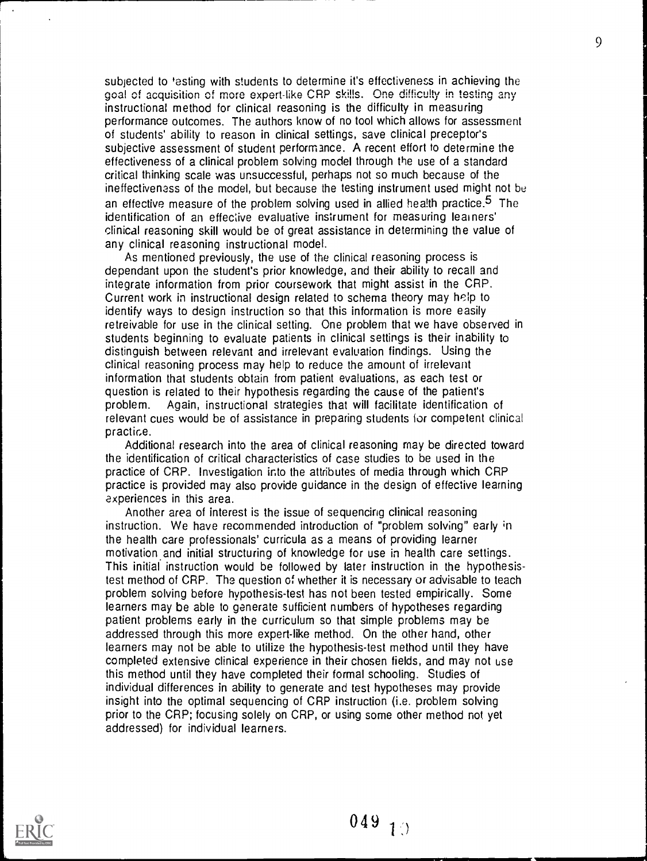subjected to 'esting with students to determine it's effectiveness in achieving the goal of acquisition of more expert-like CRP skills. One difficulty in testing any instructional method for clinical reasoning is the difficulty in measuring performance outcomes. The authors know of no tool which allows for assessment of students' ability to reason in clinical settings, save clinical preceptor's subjective assessment of student performance. A recent effort to determine the effectiveness of a clinical problem solving model through the use of a standard critical thinking scale was unsuccessful, perhaps not so much because of the ineffectiveness of the model, but because the testing instrument used might not be an effective measure of the problem solving used in allied health practice.<sup>5</sup> The identification of an effective evaluative instrument for measuring learners' clinical reasoning skill would be of great assistance in determining the value of any clinical reasoning instructional model.

As mentioned previously, the use of the clinical reasoning process is dependant upon the student's prior knowledge, and their ability to recall and integrate information from prior coursework that might assist in the CRP. Current work in instructional design related to schema theory may help to identify ways to design instruction so that this information is more easily retreivable for use in the clinical setting. One problem that we have observed in students beginning to evaluate patients in clinical settings is their inability to distinguish between relevant and irrelevant evaluation findings. Using the clinical reasoning process may help to reduce the amount of irrelevant information that students obtain from patient evaluations, as each test or question is related to their hypothesis regarding the cause of the patient's problem. Again, instructional strategies that will facilitate identification of relevant cues would be of assistance in preparing students for competent clinical practice.

Additional research into the area of clinical reasoning may be directed toward the identification of critical characteristics of case studies to be used in the practice of CRP. Investigation into the attributes of media through which CRP practice is provided may also provide guidance in the design of effective learning experiences in this area.

Another area of interest is the issue of sequencing clinical reasoning instruction. We have recommended introduction of "problem solving" early in the health care professionals' curricula as a means of providing learner motivation.and initial structuring of knowledge for use in health care settings. This initial instruction would be followed by later instruction in the hypothesistest method of CRP. The question of whether it is necessary or advisable to teach problem solving before hypothesis-test has not been tested empirically. Some learners may be able to generate sufficient numbers of hypotheses regarding patient problems early in the curriculum so that simple problems may be addressed through this more expert-like method. On the other hand, other learners may not be able to utilize the hypothesis-test method until they have completed extensive clinical experience in their chosen fields, and may not use this method until they have completed their formal schooling. Studies of individual differences in ability to generate and test hypotheses may provide insight into the optimal sequencing of CRP instruction (i.e. problem solving prior to the CRP; focusing solely on CRP, or using some other method not yet addressed) for individual learners.

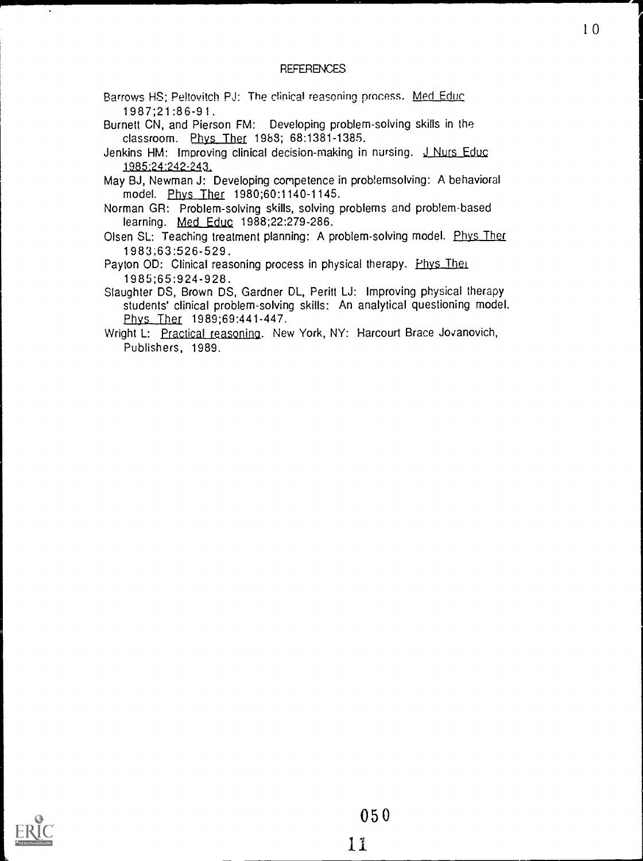# **REFERENCES**

- Barrows HS; Peltovitch PJ: The clinical reasoning process. Med Educ 1987;21:86-91.
- Burnett CN, and Pierson FM: Developing problem-solving skills in the classroom. Phys Ther 1983; 68:1381-1385.
- Jenkins HM: Improving clinical decision-making in nursing. J Nurs Educ 1 98524:242-241
- May BJ, Newman J: Developing competence in problemsolving: A behavioral model. Phys Ther 1980;60:1140-1145.

Norman GR: Problem-solving skills, solving problems and problem-based learning. Med Educ 1988;22:279-286.

Olsen SL: Teaching treatment planning: A problem-solving model. Phys Ther 1983;63:526-529.

Payton OD: Clinical reasoning process in physical therapy. Phys Their 1985;65:924-928.

Slaughter DS, Brown DS, Gardner DL, Peritt LJ: Improving physical therapy students' clinical problem-solving skills: An analytical questioning model. Phys Ther 1989;69:441-447.

Wright L: Practical reasoning. New York, NY: Harcourt Brace Jovanovich, Publishers, 1989.



 $\ddot{\phantom{0}}$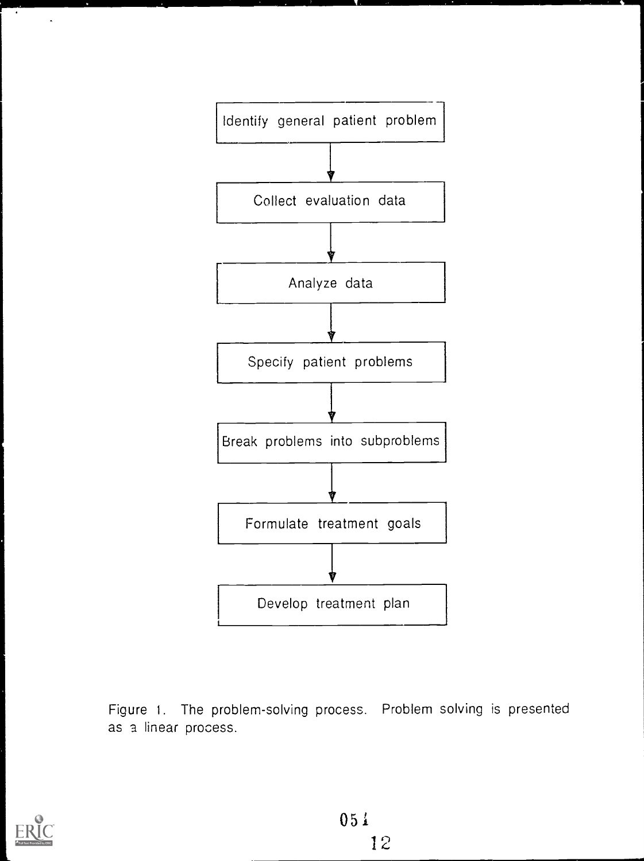

Figure 1. The problem-solving process. Problem solving is presented as a linear process.



 $\bullet$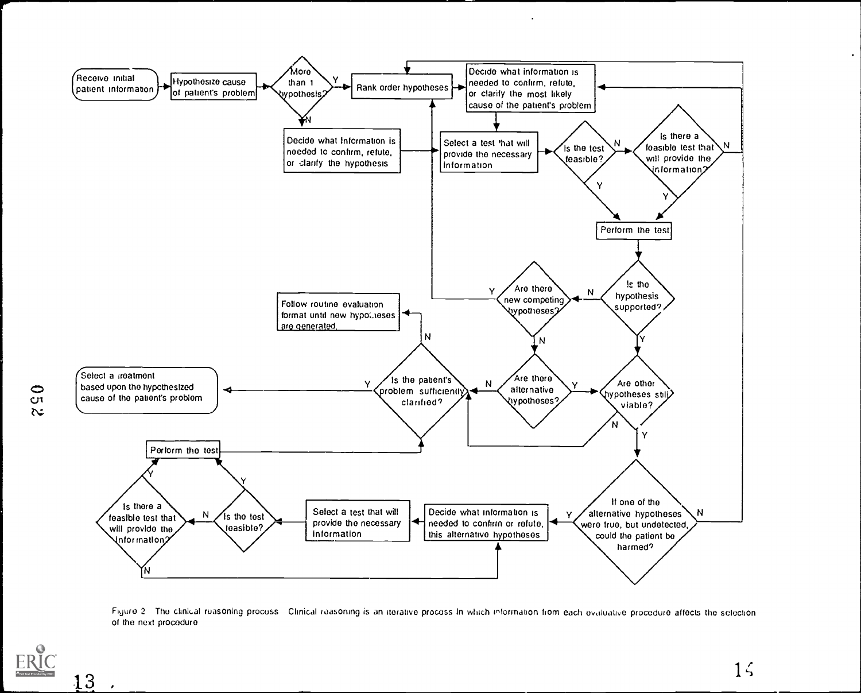

Figure 2. The clinkal reasoning process. Clinical reasoning is an iterative process In which information from each evaluative procedure affects the selection of the next procedure